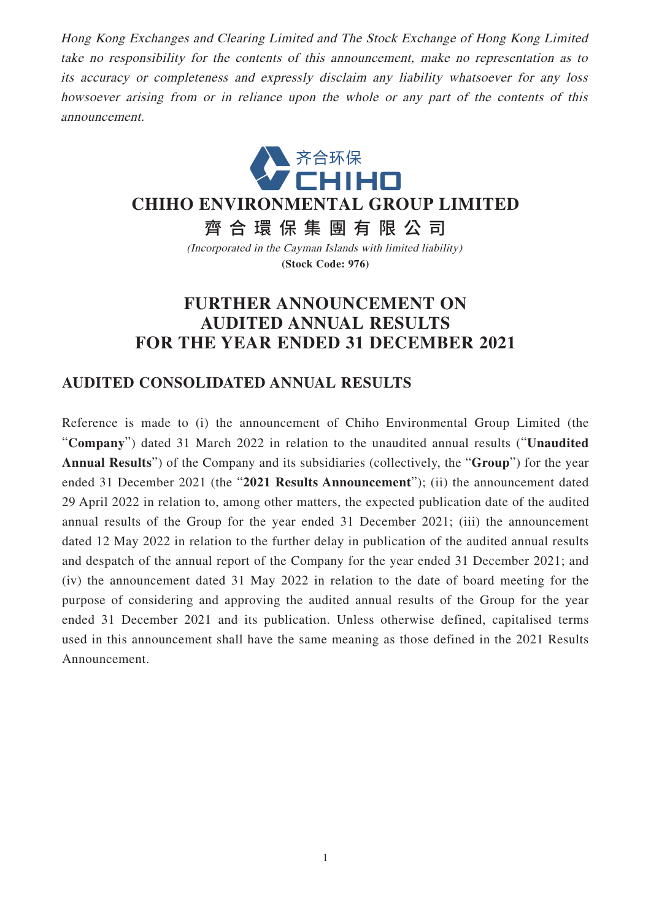Hong Kong Exchanges and Clearing Limited and The Stock Exchange of Hong Kong Limited take no responsibility for the contents of this announcement, make no representation as to its accuracy or completeness and expressly disclaim any liability whatsoever for any loss howsoever arising from or in reliance upon the whole or any part of the contents of this announcement.



## **CHIHO ENVIRONMENTAL GROUP LIMITED**

齊合環保集團有限公 司

(Incorporated in the Cayman Islands with limited liability) **(Stock Code: 976)**

# **FURTHER ANNOUNCEMENT ON AUDITED ANNUAL RESULTS FOR THE YEAR ENDED 31 DECEMBER 2021**

### **AUDITED CONSOLIDATED ANNUAL RESULTS**

Reference is made to (i) the announcement of Chiho Environmental Group Limited (the "**Company**") dated 31 March 2022 in relation to the unaudited annual results ("**Unaudited Annual Results**") of the Company and its subsidiaries (collectively, the "**Group**") for the year ended 31 December 2021 (the "**2021 Results Announcement**"); (ii) the announcement dated 29 April 2022 in relation to, among other matters, the expected publication date of the audited annual results of the Group for the year ended 31 December 2021; (iii) the announcement dated 12 May 2022 in relation to the further delay in publication of the audited annual results and despatch of the annual report of the Company for the year ended 31 December 2021; and (iv) the announcement dated 31 May 2022 in relation to the date of board meeting for the purpose of considering and approving the audited annual results of the Group for the year ended 31 December 2021 and its publication. Unless otherwise defined, capitalised terms used in this announcement shall have the same meaning as those defined in the 2021 Results Announcement.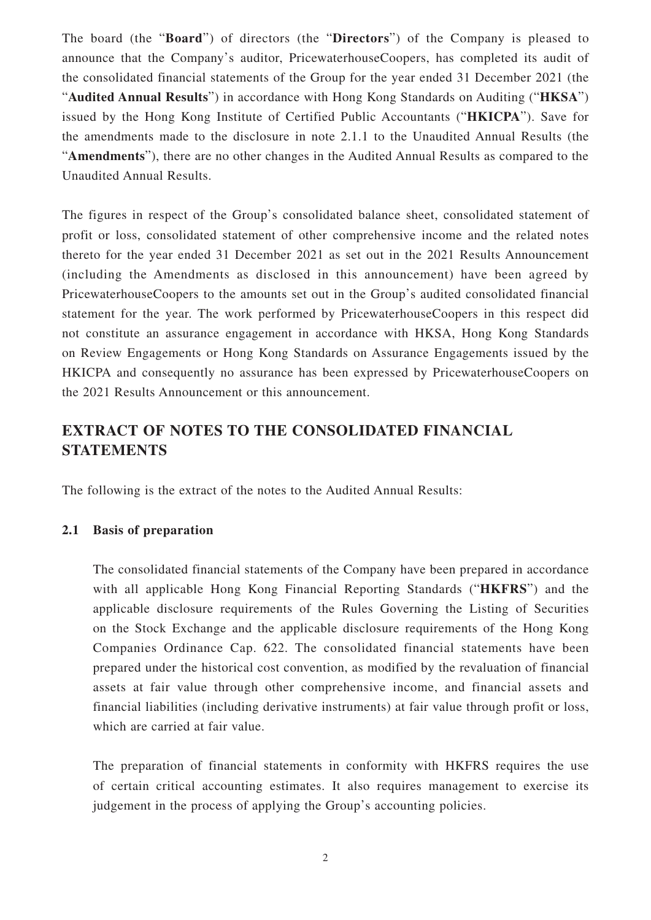The board (the "**Board**") of directors (the "**Directors**") of the Company is pleased to announce that the Company's auditor, PricewaterhouseCoopers, has completed its audit of the consolidated financial statements of the Group for the year ended 31 December 2021 (the "**Audited Annual Results**") in accordance with Hong Kong Standards on Auditing ("**HKSA**") issued by the Hong Kong Institute of Certified Public Accountants ("**HKICPA**"). Save for the amendments made to the disclosure in note 2.1.1 to the Unaudited Annual Results (the "**Amendments**"), there are no other changes in the Audited Annual Results as compared to the Unaudited Annual Results.

The figures in respect of the Group's consolidated balance sheet, consolidated statement of profit or loss, consolidated statement of other comprehensive income and the related notes thereto for the year ended 31 December 2021 as set out in the 2021 Results Announcement (including the Amendments as disclosed in this announcement) have been agreed by PricewaterhouseCoopers to the amounts set out in the Group's audited consolidated financial statement for the year. The work performed by PricewaterhouseCoopers in this respect did not constitute an assurance engagement in accordance with HKSA, Hong Kong Standards on Review Engagements or Hong Kong Standards on Assurance Engagements issued by the HKICPA and consequently no assurance has been expressed by PricewaterhouseCoopers on the 2021 Results Announcement or this announcement.

## **EXTRACT OF NOTES TO THE CONSOLIDATED FINANCIAL STATEMENTS**

The following is the extract of the notes to the Audited Annual Results:

#### **2.1 Basis of preparation**

The consolidated financial statements of the Company have been prepared in accordance with all applicable Hong Kong Financial Reporting Standards ("**HKFRS**") and the applicable disclosure requirements of the Rules Governing the Listing of Securities on the Stock Exchange and the applicable disclosure requirements of the Hong Kong Companies Ordinance Cap. 622. The consolidated financial statements have been prepared under the historical cost convention, as modified by the revaluation of financial assets at fair value through other comprehensive income, and financial assets and financial liabilities (including derivative instruments) at fair value through profit or loss, which are carried at fair value.

The preparation of financial statements in conformity with HKFRS requires the use of certain critical accounting estimates. It also requires management to exercise its judgement in the process of applying the Group's accounting policies.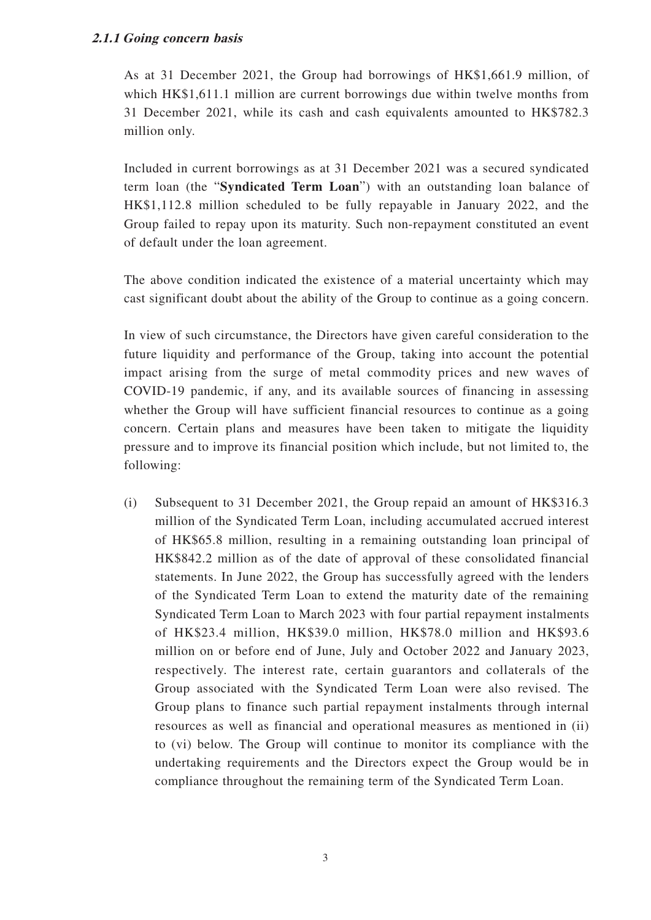#### **2.1.1 Going concern basis**

As at 31 December 2021, the Group had borrowings of HK\$1,661.9 million, of which HK\$1,611.1 million are current borrowings due within twelve months from 31 December 2021, while its cash and cash equivalents amounted to HK\$782.3 million only.

Included in current borrowings as at 31 December 2021 was a secured syndicated term loan (the "**Syndicated Term Loan**") with an outstanding loan balance of HK\$1,112.8 million scheduled to be fully repayable in January 2022, and the Group failed to repay upon its maturity. Such non-repayment constituted an event of default under the loan agreement.

The above condition indicated the existence of a material uncertainty which may cast significant doubt about the ability of the Group to continue as a going concern.

In view of such circumstance, the Directors have given careful consideration to the future liquidity and performance of the Group, taking into account the potential impact arising from the surge of metal commodity prices and new waves of COVID-19 pandemic, if any, and its available sources of financing in assessing whether the Group will have sufficient financial resources to continue as a going concern. Certain plans and measures have been taken to mitigate the liquidity pressure and to improve its financial position which include, but not limited to, the following:

(i) Subsequent to 31 December 2021, the Group repaid an amount of HK\$316.3 million of the Syndicated Term Loan, including accumulated accrued interest of HK\$65.8 million, resulting in a remaining outstanding loan principal of HK\$842.2 million as of the date of approval of these consolidated financial statements. In June 2022, the Group has successfully agreed with the lenders of the Syndicated Term Loan to extend the maturity date of the remaining Syndicated Term Loan to March 2023 with four partial repayment instalments of HK\$23.4 million, HK\$39.0 million, HK\$78.0 million and HK\$93.6 million on or before end of June, July and October 2022 and January 2023, respectively. The interest rate, certain guarantors and collaterals of the Group associated with the Syndicated Term Loan were also revised. The Group plans to finance such partial repayment instalments through internal resources as well as financial and operational measures as mentioned in (ii) to (vi) below. The Group will continue to monitor its compliance with the undertaking requirements and the Directors expect the Group would be in compliance throughout the remaining term of the Syndicated Term Loan.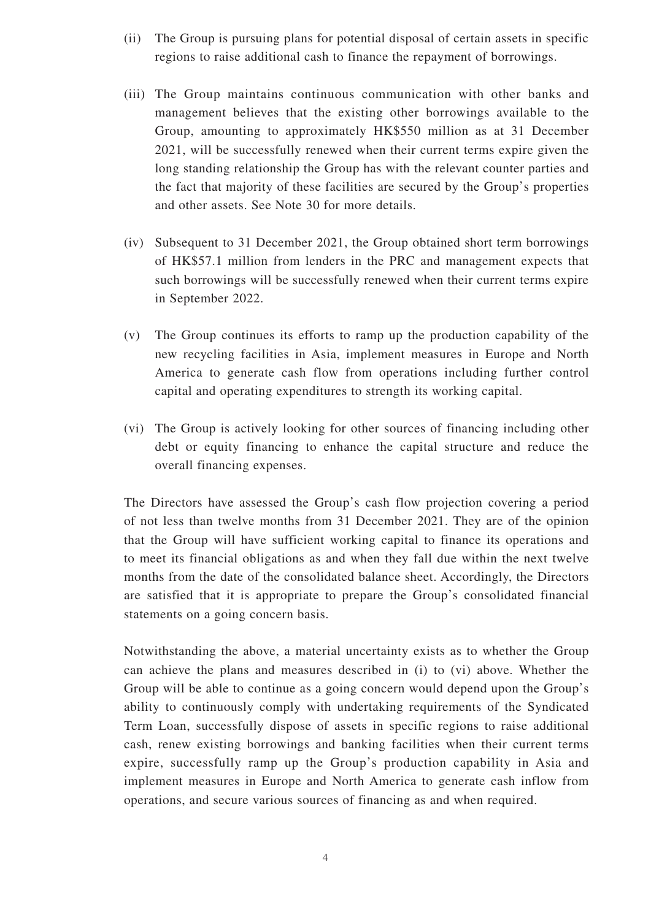- (ii) The Group is pursuing plans for potential disposal of certain assets in specific regions to raise additional cash to finance the repayment of borrowings.
- (iii) The Group maintains continuous communication with other banks and management believes that the existing other borrowings available to the Group, amounting to approximately HK\$550 million as at 31 December 2021, will be successfully renewed when their current terms expire given the long standing relationship the Group has with the relevant counter parties and the fact that majority of these facilities are secured by the Group's properties and other assets. See Note 30 for more details.
- (iv) Subsequent to 31 December 2021, the Group obtained short term borrowings of HK\$57.1 million from lenders in the PRC and management expects that such borrowings will be successfully renewed when their current terms expire in September 2022.
- (v) The Group continues its efforts to ramp up the production capability of the new recycling facilities in Asia, implement measures in Europe and North America to generate cash flow from operations including further control capital and operating expenditures to strength its working capital.
- (vi) The Group is actively looking for other sources of financing including other debt or equity financing to enhance the capital structure and reduce the overall financing expenses.

The Directors have assessed the Group's cash flow projection covering a period of not less than twelve months from 31 December 2021. They are of the opinion that the Group will have sufficient working capital to finance its operations and to meet its financial obligations as and when they fall due within the next twelve months from the date of the consolidated balance sheet. Accordingly, the Directors are satisfied that it is appropriate to prepare the Group's consolidated financial statements on a going concern basis.

Notwithstanding the above, a material uncertainty exists as to whether the Group can achieve the plans and measures described in (i) to (vi) above. Whether the Group will be able to continue as a going concern would depend upon the Group's ability to continuously comply with undertaking requirements of the Syndicated Term Loan, successfully dispose of assets in specific regions to raise additional cash, renew existing borrowings and banking facilities when their current terms expire, successfully ramp up the Group's production capability in Asia and implement measures in Europe and North America to generate cash inflow from operations, and secure various sources of financing as and when required.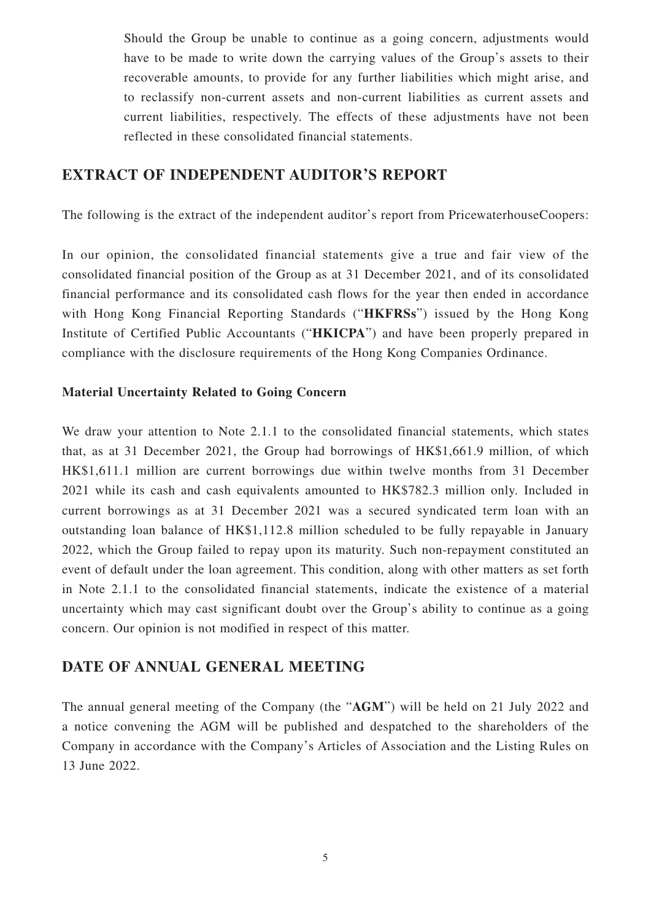Should the Group be unable to continue as a going concern, adjustments would have to be made to write down the carrying values of the Group's assets to their recoverable amounts, to provide for any further liabilities which might arise, and to reclassify non-current assets and non-current liabilities as current assets and current liabilities, respectively. The effects of these adjustments have not been reflected in these consolidated financial statements.

### **EXTRACT OF INDEPENDENT AUDITOR'S REPORT**

The following is the extract of the independent auditor's report from PricewaterhouseCoopers:

In our opinion, the consolidated financial statements give a true and fair view of the consolidated financial position of the Group as at 31 December 2021, and of its consolidated financial performance and its consolidated cash flows for the year then ended in accordance with Hong Kong Financial Reporting Standards ("**HKFRSs**") issued by the Hong Kong Institute of Certified Public Accountants ("**HKICPA**") and have been properly prepared in compliance with the disclosure requirements of the Hong Kong Companies Ordinance.

#### **Material Uncertainty Related to Going Concern**

We draw your attention to Note 2.1.1 to the consolidated financial statements, which states that, as at 31 December 2021, the Group had borrowings of HK\$1,661.9 million, of which HK\$1,611.1 million are current borrowings due within twelve months from 31 December 2021 while its cash and cash equivalents amounted to HK\$782.3 million only. Included in current borrowings as at 31 December 2021 was a secured syndicated term loan with an outstanding loan balance of HK\$1,112.8 million scheduled to be fully repayable in January 2022, which the Group failed to repay upon its maturity. Such non-repayment constituted an event of default under the loan agreement. This condition, along with other matters as set forth in Note 2.1.1 to the consolidated financial statements, indicate the existence of a material uncertainty which may cast significant doubt over the Group's ability to continue as a going concern. Our opinion is not modified in respect of this matter.

### **DATE OF ANNUAL GENERAL MEETING**

The annual general meeting of the Company (the "**AGM**") will be held on 21 July 2022 and a notice convening the AGM will be published and despatched to the shareholders of the Company in accordance with the Company's Articles of Association and the Listing Rules on 13 June 2022.